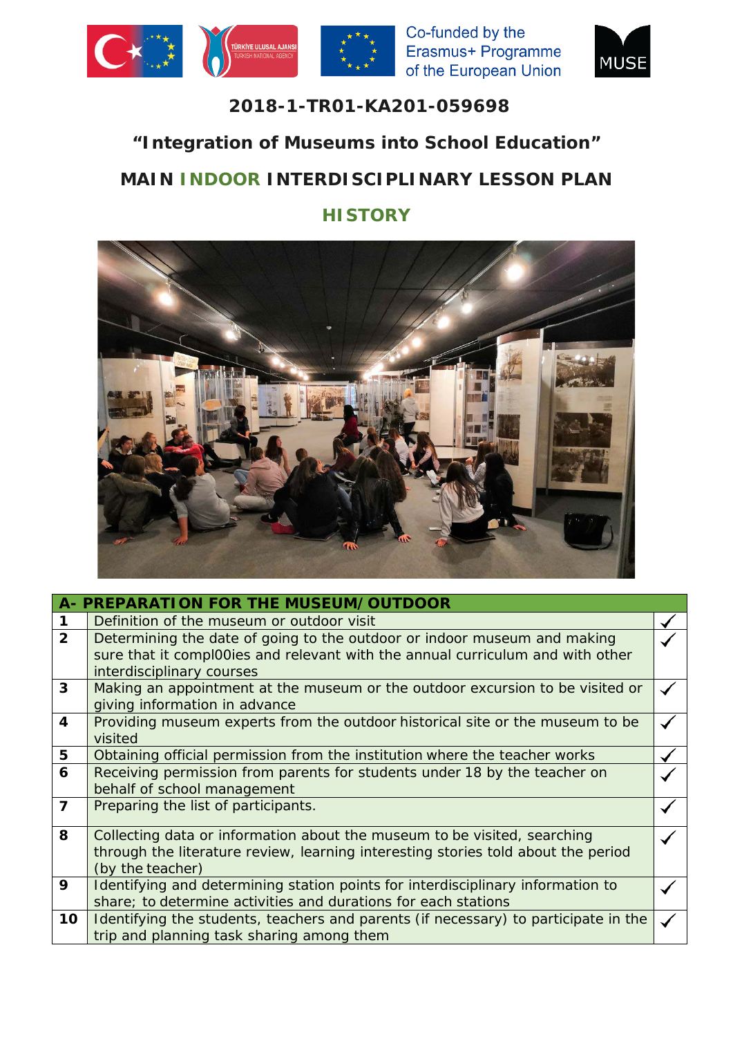





### **2018-1-TR01-KA201-059698**

## **"Integration of Museums into School Education"**

# **MAIN INDOOR INTERDISCIPLINARY LESSON PLAN**

## **HISTORY**



|                | A- PREPARATION FOR THE MUSEUM/OUTDOOR                                                                                                                                                   |  |
|----------------|-----------------------------------------------------------------------------------------------------------------------------------------------------------------------------------------|--|
|                | Definition of the museum or outdoor visit                                                                                                                                               |  |
| $\overline{2}$ | Determining the date of going to the outdoor or indoor museum and making<br>sure that it compl00ies and relevant with the annual curriculum and with other<br>interdisciplinary courses |  |
| 3              | Making an appointment at the museum or the outdoor excursion to be visited or<br>giving information in advance                                                                          |  |
| 4              | Providing museum experts from the outdoor historical site or the museum to be<br>visited                                                                                                |  |
| 5              | Obtaining official permission from the institution where the teacher works                                                                                                              |  |
| 6              | Receiving permission from parents for students under 18 by the teacher on                                                                                                               |  |
|                | behalf of school management                                                                                                                                                             |  |
| $\overline{7}$ | Preparing the list of participants.                                                                                                                                                     |  |
| 8              | Collecting data or information about the museum to be visited, searching                                                                                                                |  |
|                | through the literature review, learning interesting stories told about the period                                                                                                       |  |
|                | (by the teacher)                                                                                                                                                                        |  |
| 9              | Identifying and determining station points for interdisciplinary information to                                                                                                         |  |
|                | share; to determine activities and durations for each stations                                                                                                                          |  |
| 10             | Identifying the students, teachers and parents (if necessary) to participate in the                                                                                                     |  |
|                | trip and planning task sharing among them                                                                                                                                               |  |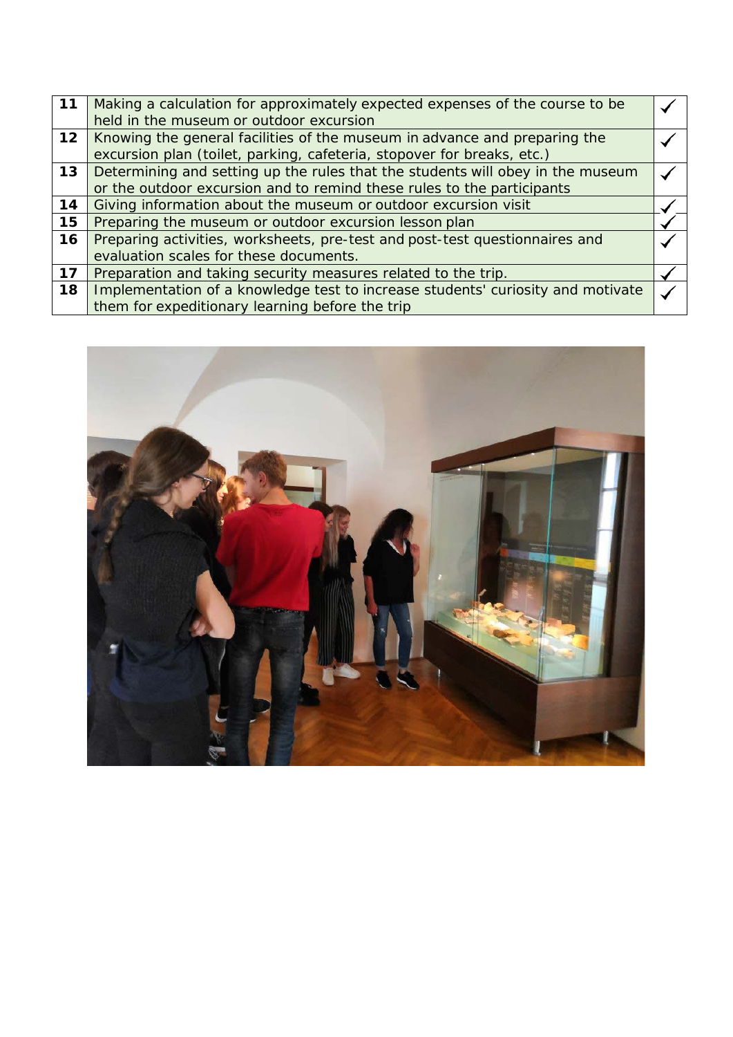| 11              | Making a calculation for approximately expected expenses of the course to be    |  |
|-----------------|---------------------------------------------------------------------------------|--|
|                 | held in the museum or outdoor excursion                                         |  |
| 12 <sub>2</sub> | Knowing the general facilities of the museum in advance and preparing the       |  |
|                 | excursion plan (toilet, parking, cafeteria, stopover for breaks, etc.)          |  |
| 13 <sup>7</sup> | Determining and setting up the rules that the students will obey in the museum  |  |
|                 | or the outdoor excursion and to remind these rules to the participants          |  |
| 14              | Giving information about the museum or outdoor excursion visit                  |  |
| 15              | Preparing the museum or outdoor excursion lesson plan                           |  |
| 16              | Preparing activities, worksheets, pre-test and post-test questionnaires and     |  |
|                 | evaluation scales for these documents.                                          |  |
| 17              | Preparation and taking security measures related to the trip.                   |  |
| 18              | Implementation of a knowledge test to increase students' curiosity and motivate |  |
|                 | them for expeditionary learning before the trip                                 |  |

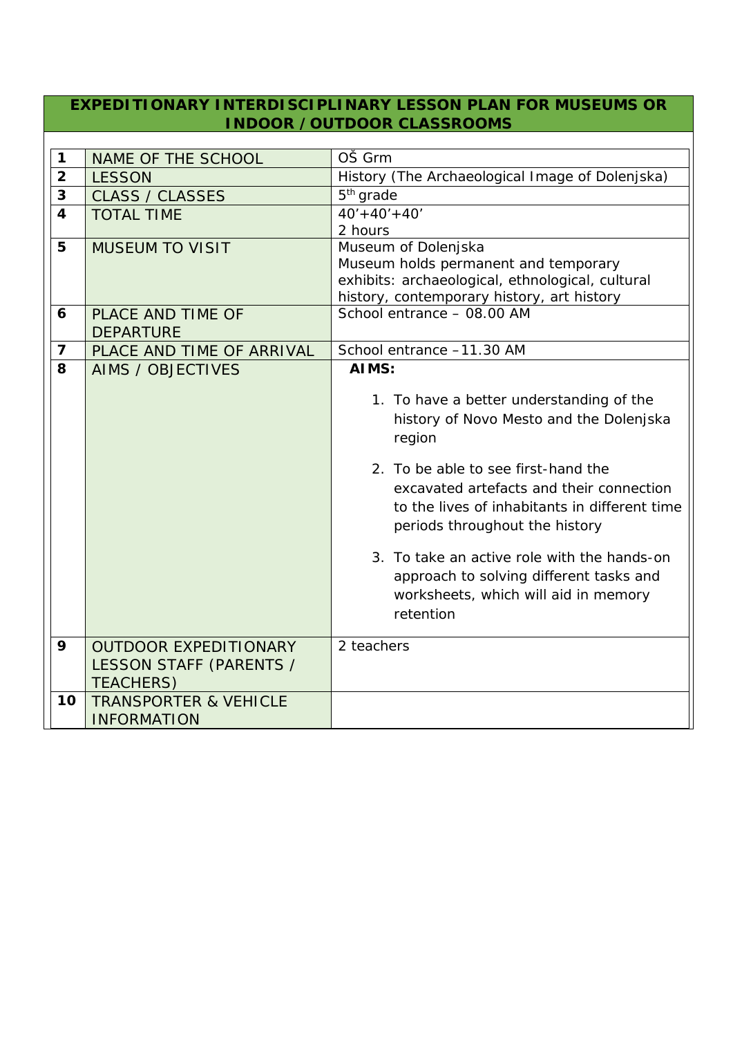#### **EXPEDITIONARY INTERDISCIPLINARY LESSON PLAN FOR MUSEUMS OR INDOOR /OUTDOOR CLASSROOMS**

| 1                       | NAME OF THE SCHOOL               | OŠ Grm                                                                                         |  |  |
|-------------------------|----------------------------------|------------------------------------------------------------------------------------------------|--|--|
| $\overline{2}$          | <b>LESSON</b>                    | History (The Archaeological Image of Dolenjska)                                                |  |  |
| $\overline{3}$          | <b>CLASS / CLASSES</b>           | 5 <sup>th</sup> grade                                                                          |  |  |
| $\overline{\mathbf{4}}$ | <b>TOTAL TIME</b>                | $40' + 40' + 40'$                                                                              |  |  |
|                         |                                  | 2 hours                                                                                        |  |  |
| 5                       | <b>MUSEUM TO VISIT</b>           | Museum of Dolenjska                                                                            |  |  |
|                         |                                  | Museum holds permanent and temporary                                                           |  |  |
|                         |                                  | exhibits: archaeological, ethnological, cultural<br>history, contemporary history, art history |  |  |
| 6                       | PLACE AND TIME OF                | School entrance - 08.00 AM                                                                     |  |  |
|                         | <b>DEPARTURE</b>                 |                                                                                                |  |  |
| $\overline{\mathbf{z}}$ | PLACE AND TIME OF ARRIVAL        | School entrance -11.30 AM                                                                      |  |  |
| 8                       | <b>AIMS / OBJECTIVES</b>         | AIMS:                                                                                          |  |  |
|                         |                                  |                                                                                                |  |  |
|                         |                                  | 1. To have a better understanding of the                                                       |  |  |
|                         |                                  | history of Novo Mesto and the Dolenjska                                                        |  |  |
|                         |                                  | region                                                                                         |  |  |
|                         |                                  |                                                                                                |  |  |
|                         |                                  | 2. To be able to see first-hand the                                                            |  |  |
|                         |                                  | excavated artefacts and their connection                                                       |  |  |
|                         |                                  | to the lives of inhabitants in different time                                                  |  |  |
|                         |                                  | periods throughout the history                                                                 |  |  |
|                         |                                  | 3. To take an active role with the hands-on                                                    |  |  |
|                         |                                  | approach to solving different tasks and                                                        |  |  |
|                         |                                  | worksheets, which will aid in memory                                                           |  |  |
|                         |                                  | retention                                                                                      |  |  |
|                         |                                  |                                                                                                |  |  |
| 9                       | <b>OUTDOOR EXPEDITIONARY</b>     | 2 teachers                                                                                     |  |  |
|                         | LESSON STAFF (PARENTS /          |                                                                                                |  |  |
|                         | <b>TEACHERS)</b>                 |                                                                                                |  |  |
| 10                      | <b>TRANSPORTER &amp; VEHICLE</b> |                                                                                                |  |  |
|                         | <b>INFORMATION</b>               |                                                                                                |  |  |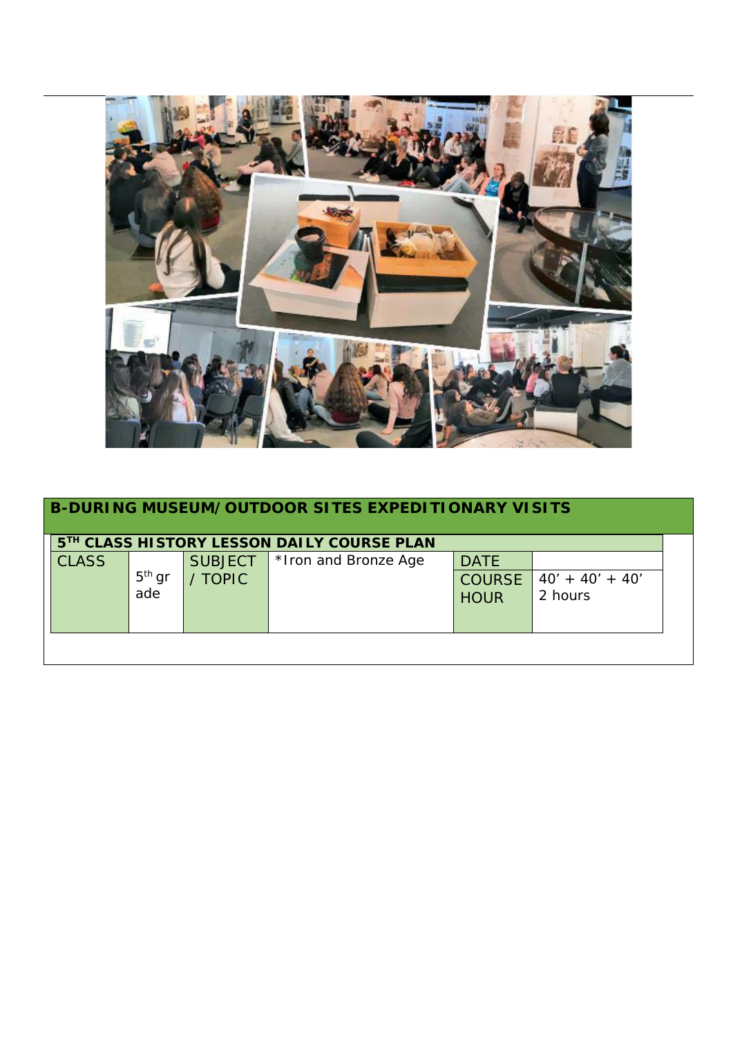

| 5TH CLASS HISTORY LESSON DAILY COURSE PLAN<br><b>CLASS</b><br>*Iron and Bronze Age<br><b>SUBJECT</b><br><b>DATE</b> |                           | <b>B-DURING MUSEUM/OUTDOOR SITES EXPEDITIONARY VISITS</b> |  |
|---------------------------------------------------------------------------------------------------------------------|---------------------------|-----------------------------------------------------------|--|
|                                                                                                                     |                           |                                                           |  |
| / TOPIC<br><b>COURSE</b><br>$40' + 40' + 40'$<br>2 hours<br><b>HOUR</b>                                             | 5 <sup>th</sup> gr<br>ade |                                                           |  |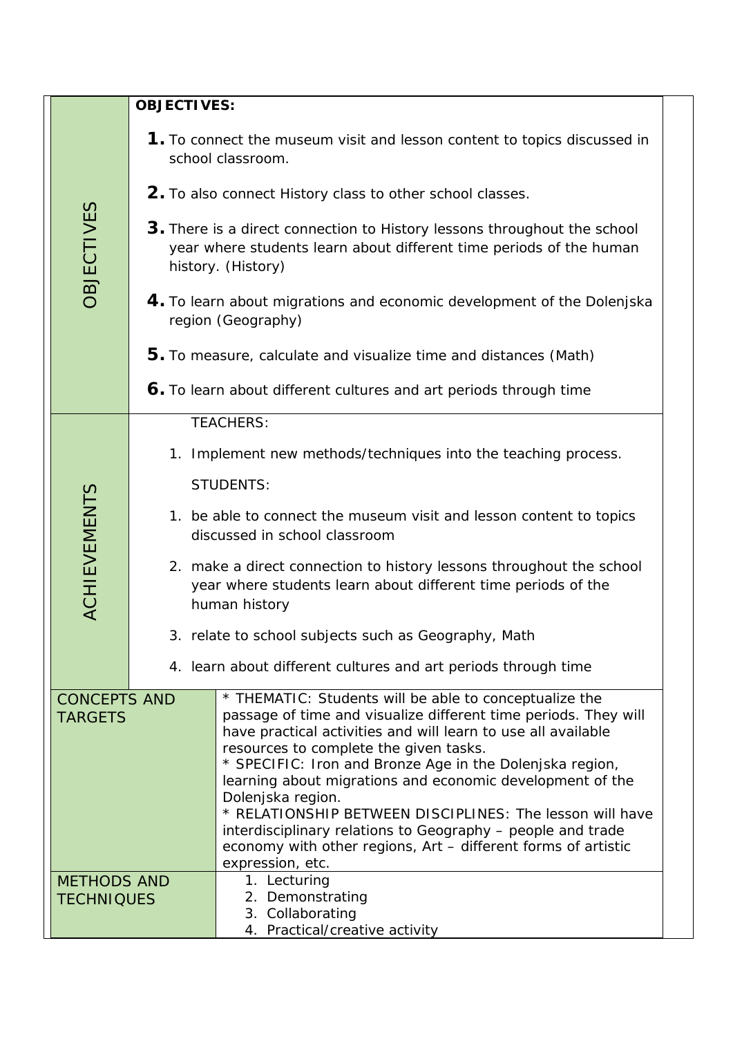| <b>OBJECTIVES:</b>                       |                                       |                                                                                                                                                                       |                                                                                                                                                                                                                                                                                                  |  |  |  |  |  |
|------------------------------------------|---------------------------------------|-----------------------------------------------------------------------------------------------------------------------------------------------------------------------|--------------------------------------------------------------------------------------------------------------------------------------------------------------------------------------------------------------------------------------------------------------------------------------------------|--|--|--|--|--|
|                                          |                                       |                                                                                                                                                                       |                                                                                                                                                                                                                                                                                                  |  |  |  |  |  |
|                                          |                                       |                                                                                                                                                                       | 1. To connect the museum visit and lesson content to topics discussed in<br>school classroom.                                                                                                                                                                                                    |  |  |  |  |  |
| <b>OBJECTIVES</b><br><b>ACHIEVEMENTS</b> |                                       |                                                                                                                                                                       | 2. To also connect History class to other school classes.                                                                                                                                                                                                                                        |  |  |  |  |  |
|                                          |                                       | 3. There is a direct connection to History lessons throughout the school<br>year where students learn about different time periods of the human<br>history. (History) |                                                                                                                                                                                                                                                                                                  |  |  |  |  |  |
|                                          |                                       | 4. To learn about migrations and economic development of the Dolenjska<br>region (Geography)                                                                          |                                                                                                                                                                                                                                                                                                  |  |  |  |  |  |
|                                          |                                       |                                                                                                                                                                       | 5. To measure, calculate and visualize time and distances (Math)                                                                                                                                                                                                                                 |  |  |  |  |  |
|                                          |                                       |                                                                                                                                                                       | 6. To learn about different cultures and art periods through time                                                                                                                                                                                                                                |  |  |  |  |  |
|                                          |                                       | <b>TEACHERS:</b>                                                                                                                                                      |                                                                                                                                                                                                                                                                                                  |  |  |  |  |  |
|                                          |                                       | 1. Implement new methods/techniques into the teaching process.                                                                                                        |                                                                                                                                                                                                                                                                                                  |  |  |  |  |  |
|                                          |                                       | <b>STUDENTS:</b>                                                                                                                                                      |                                                                                                                                                                                                                                                                                                  |  |  |  |  |  |
|                                          |                                       |                                                                                                                                                                       |                                                                                                                                                                                                                                                                                                  |  |  |  |  |  |
|                                          |                                       | 1. be able to connect the museum visit and lesson content to topics<br>discussed in school classroom                                                                  |                                                                                                                                                                                                                                                                                                  |  |  |  |  |  |
|                                          |                                       | 2. make a direct connection to history lessons throughout the school<br>year where students learn about different time periods of the<br>human history                |                                                                                                                                                                                                                                                                                                  |  |  |  |  |  |
|                                          |                                       |                                                                                                                                                                       | 3. relate to school subjects such as Geography, Math                                                                                                                                                                                                                                             |  |  |  |  |  |
|                                          |                                       | 4. learn about different cultures and art periods through time                                                                                                        |                                                                                                                                                                                                                                                                                                  |  |  |  |  |  |
|                                          | <b>CONCEPTS AND</b><br><b>TARGETS</b> |                                                                                                                                                                       | * THEMATIC: Students will be able to conceptualize the<br>passage of time and visualize different time periods. They will<br>have practical activities and will learn to use all available<br>resources to complete the given tasks.<br>* SPECIFIC: Iron and Bronze Age in the Dolenjska region, |  |  |  |  |  |
|                                          |                                       |                                                                                                                                                                       | learning about migrations and economic development of the<br>Dolenjska region.                                                                                                                                                                                                                   |  |  |  |  |  |
|                                          |                                       |                                                                                                                                                                       | * RELATIONSHIP BETWEEN DISCIPLINES: The lesson will have                                                                                                                                                                                                                                         |  |  |  |  |  |
|                                          |                                       |                                                                                                                                                                       | interdisciplinary relations to Geography - people and trade<br>economy with other regions, Art - different forms of artistic                                                                                                                                                                     |  |  |  |  |  |
|                                          |                                       |                                                                                                                                                                       | expression, etc.                                                                                                                                                                                                                                                                                 |  |  |  |  |  |
|                                          | <b>METHODS AND</b>                    |                                                                                                                                                                       | 1. Lecturing                                                                                                                                                                                                                                                                                     |  |  |  |  |  |
|                                          | <b>TECHNIQUES</b>                     |                                                                                                                                                                       | 2. Demonstrating<br>3. Collaborating                                                                                                                                                                                                                                                             |  |  |  |  |  |
|                                          |                                       |                                                                                                                                                                       | 4. Practical/creative activity                                                                                                                                                                                                                                                                   |  |  |  |  |  |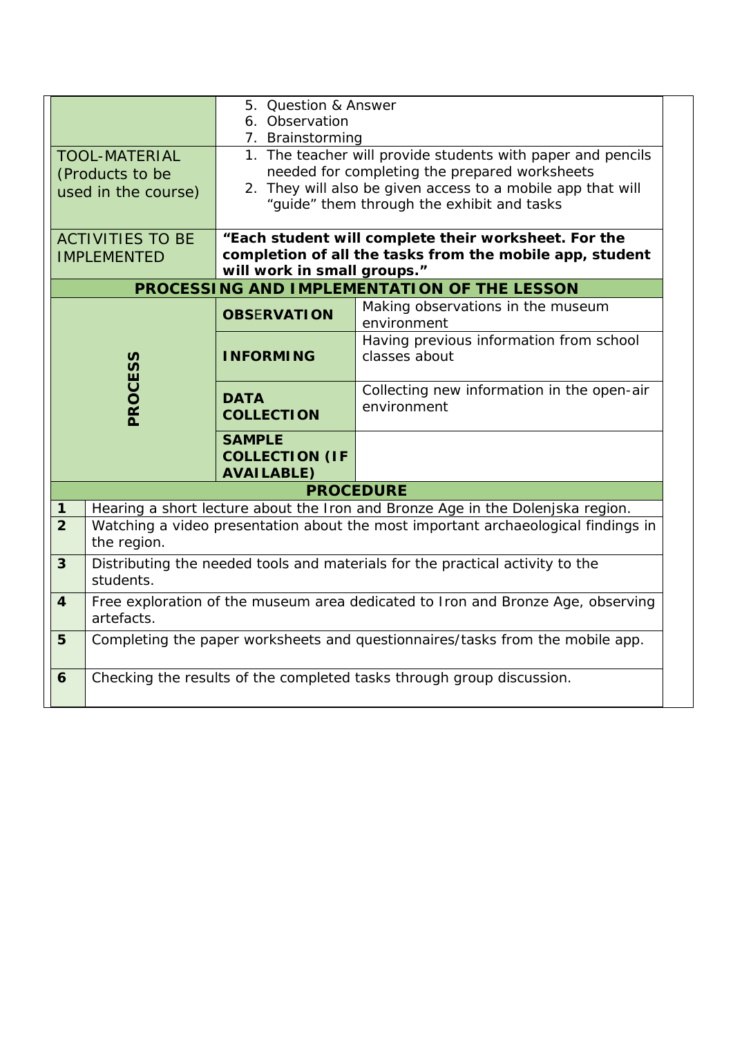|                                                                                                                                      |                                                                                                  | 5. Question & Answer             |                                                                                                                  |  |  |
|--------------------------------------------------------------------------------------------------------------------------------------|--------------------------------------------------------------------------------------------------|----------------------------------|------------------------------------------------------------------------------------------------------------------|--|--|
| 6. Observation<br>7. Brainstorming                                                                                                   |                                                                                                  |                                  |                                                                                                                  |  |  |
| 1. The teacher will provide students with paper and pencils<br><b>TOOL-MATERIAL</b><br>needed for completing the prepared worksheets |                                                                                                  |                                  |                                                                                                                  |  |  |
|                                                                                                                                      | (Products to be<br>used in the course)                                                           |                                  | 2. They will also be given access to a mobile app that will<br>"guide" them through the exhibit and tasks        |  |  |
|                                                                                                                                      | <b>ACTIVITIES TO BE</b><br><b>IMPLEMENTED</b>                                                    | will work in small groups."      | "Each student will complete their worksheet. For the<br>completion of all the tasks from the mobile app, student |  |  |
|                                                                                                                                      |                                                                                                  |                                  | PROCESSING AND IMPLEMENTATION OF THE LESSON                                                                      |  |  |
| Making observations in the museum<br><b>OBSERVATION</b><br>environment                                                               |                                                                                                  |                                  |                                                                                                                  |  |  |
| Having previous information from school<br>classes about<br><b>INFORMING</b>                                                         |                                                                                                  |                                  |                                                                                                                  |  |  |
|                                                                                                                                      | <b>PROCESS</b>                                                                                   | <b>DATA</b><br><b>COLLECTION</b> | Collecting new information in the open-air<br>environment                                                        |  |  |
| <b>SAMPLE</b><br><b>COLLECTION (IF</b><br><b>AVAILABLE)</b>                                                                          |                                                                                                  |                                  |                                                                                                                  |  |  |
| <b>PROCEDURE</b>                                                                                                                     |                                                                                                  |                                  |                                                                                                                  |  |  |
| $\mathbf{1}$                                                                                                                         |                                                                                                  |                                  | Hearing a short lecture about the Iron and Bronze Age in the Dolenjska region.                                   |  |  |
| $\overline{2}$                                                                                                                       | Watching a video presentation about the most important archaeological findings in<br>the region. |                                  |                                                                                                                  |  |  |
| 3                                                                                                                                    | Distributing the needed tools and materials for the practical activity to the<br>students.       |                                  |                                                                                                                  |  |  |
| $\overline{\mathbf{4}}$                                                                                                              | Free exploration of the museum area dedicated to Iron and Bronze Age, observing<br>artefacts.    |                                  |                                                                                                                  |  |  |
| 5                                                                                                                                    |                                                                                                  |                                  | Completing the paper worksheets and questionnaires/tasks from the mobile app.                                    |  |  |
| 6                                                                                                                                    | Checking the results of the completed tasks through group discussion.                            |                                  |                                                                                                                  |  |  |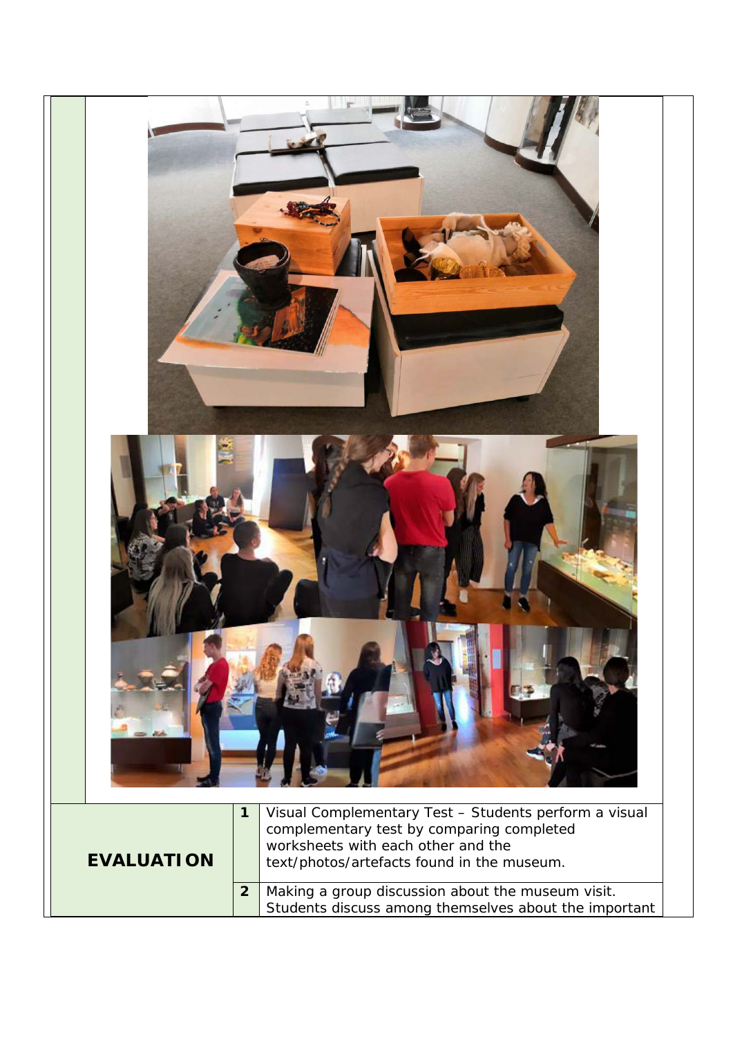| <b>EVALUATION</b> | Visual Complementary Test - Students perform a visual<br>1<br>complementary test by comparing completed<br>worksheets with each other and the<br>text/photos/artefacts found in the museum.<br>$\overline{2}$<br>Making a group discussion about the museum visit.<br>Students discuss among themselves about the important |
|-------------------|-----------------------------------------------------------------------------------------------------------------------------------------------------------------------------------------------------------------------------------------------------------------------------------------------------------------------------|